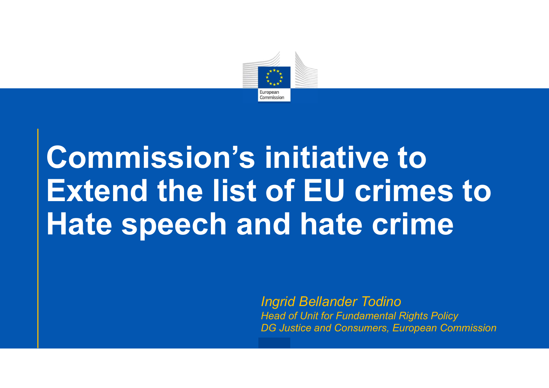

# Commission's initiative to Extend the list of EU crimes to Hate speech and hate crime initiative to<br>of EU crimes to<br>and hate crime<br>Ingrid Bellander Todino<br>Ingrid Bellander Todino<br>DG Justice and Consumers, European Commission

Head of Unit for Fundamental Rights Policy DG Justice and Consumers, European Commission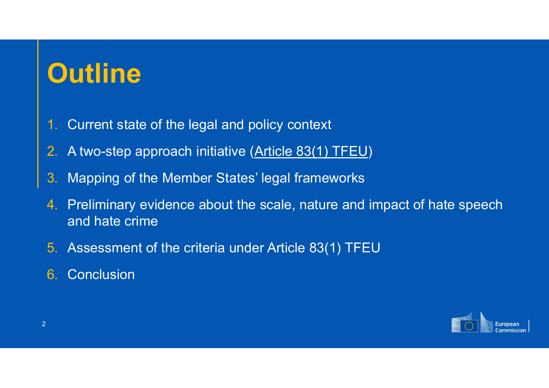# **Outline**

- 1. Current state of the legal and policy context
- 2. A two-step approach initiative (Article 83(1) TFEU)
- 3. Mapping of the Member States' legal frameworks
- 4. Preliminary evidence about the scale, nature and impact of hate speech and hate crime
- 5. Assessment of the criteria under Article 83(1) TFEU
- 6. Conclusion

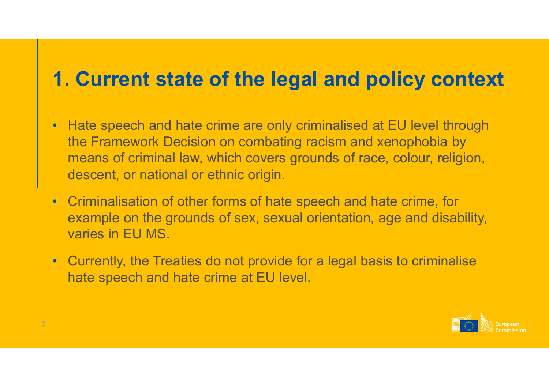# 1. Current state of the legal and policy context

- Hate speech and hate crime are only criminalised at EU level through the Framework Decision on combating racism and xenophobia by means of criminal law, which covers grounds of race, colour, religion, descent, or national or ethnic origin.
- Criminalisation of other forms of hate speech and hate crime, for example on the grounds of sex, sexual orientation, age and disability, varies in EU MS.
- Currently, the Treaties do not provide for a legal basis to criminalise hate speech and hate crime at EU level.

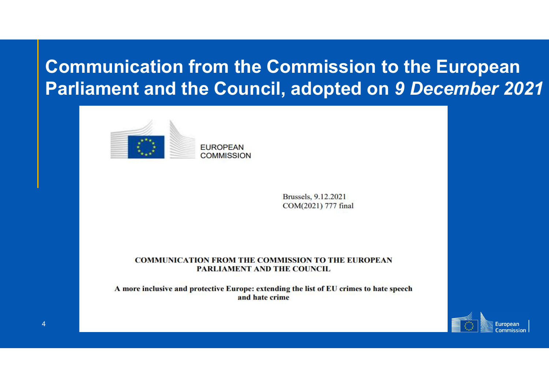### Communication from the Commission to the European Parliament and the Council, adopted on 9 December 2021



Brussels, 9.12.2021 COM(2021) 777 final

**COMMUNICATION FROM THE COMMISSION TO THE EUROPEAN** PARLIAMENT AND THE COUNCIL

A more inclusive and protective Europe: extending the list of EU crimes to hate speech and hate crime

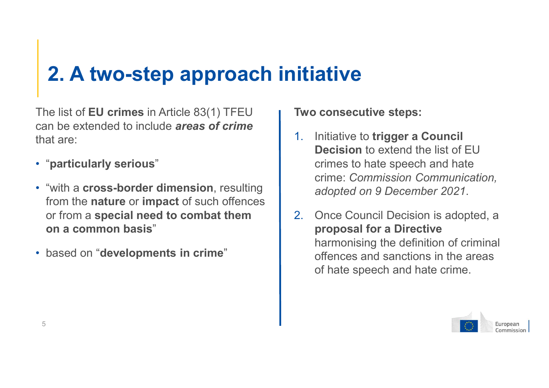# 2. A two-step approach initiative

The list of **EU crimes** in Article 83(1) TFEU can be extended to include **areas of crime**  $\begin{bmatrix} 1 & 1 \end{bmatrix}$ that are:

- "particularly serious"
- from the nature or impact of such offences or from a special need to combat them  $\vert$  2. on a common basis"
- based on "developments in crime"

Two consecutive steps:

- "with a cross-border dimension, resulting | crime: Commission Communication, Initiative to trigger a Council Decision to extend the list of FU crimes to hate speech and hate **ative**<br> **consecutive steps:**<br>
Initiative to **trigger a Council**<br>
Decision to extend the list of EU<br>
crimes to hate speech and hate<br>
crime: Commission Communication,<br>
adopted on 9 December 2021.<br>
Once Council Decision is a
	- Once Council Decision is adopted, a. proposal for a Directive harmonising the definition of criminal offences and sanctions in the areas of hate speech and hate crime.

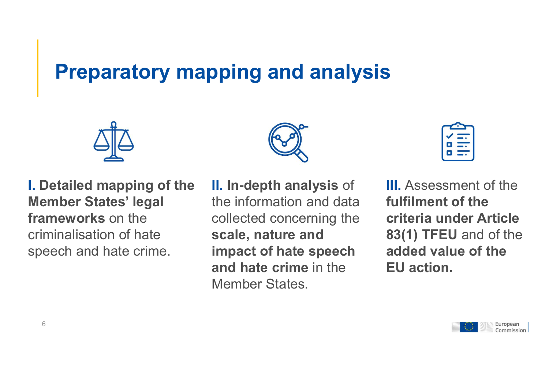# Preparatory mapping and analysis



I. Detailed mapping of the Member States' legal frameworks on the criminalisation of hate speech and hate crime.

II. In-depth analysis of the information and data collected concerning the scale, nature and impact of hate speech and hate crime in the Member States.

III. Assessment of the fulfilment of the criteria under Article 83(1) TFEU and of the added value of the EU action.

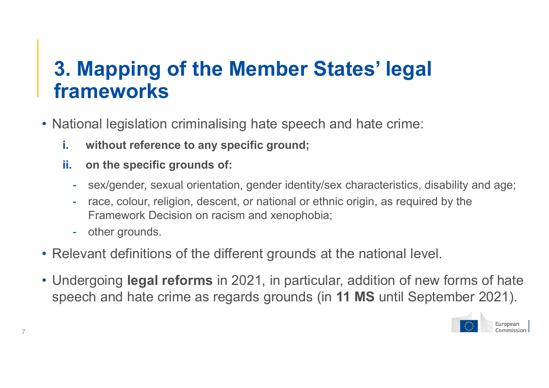# **Mapping of the Member Strangement<br>ameworks**<br>ional legislation criminalising hate speech<br>without reference to any specific ground;<br>on the specific grounds of:<br>- sex/gender, sexual orientation, gender identity/s<br>- race, col 3. Mapping of the Member States' legal frameworks

- National legislation criminalising hate speech and hate crime:
	- i. without reference to any specific ground;
	- ii. on the specific grounds of:
		- sex/gender, sexual orientation, gender identity/sex characteristics, disability and age;
		- race, colour, religion, descent, or national or ethnic origin, as required by the Framework Decision on racism and xenophobia;
		-
- Relevant definitions of the different grounds at the national level.
- Undergoing legal reforms in 2021, in particular, addition of new forms of hate speech and hate crime as regards grounds (in 11 MS until September 2021).

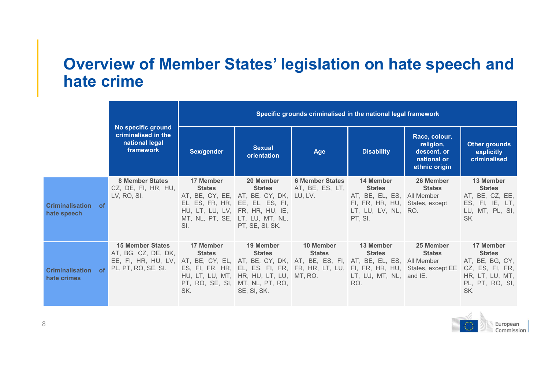#### Overview of Member States' legislation on hate speech and hate crime

|                                               |                                                                                                                                                                         | Specific grounds criminalised in the national legal framework |                                                                                                                                                                                                   |                                           |                                                                                                                              |                                                                                                                                 |                                                                                            |
|-----------------------------------------------|-------------------------------------------------------------------------------------------------------------------------------------------------------------------------|---------------------------------------------------------------|---------------------------------------------------------------------------------------------------------------------------------------------------------------------------------------------------|-------------------------------------------|------------------------------------------------------------------------------------------------------------------------------|---------------------------------------------------------------------------------------------------------------------------------|--------------------------------------------------------------------------------------------|
|                                               | No specific ground<br>criminalised in the<br>national legal<br>framework                                                                                                | Sex/gender                                                    | <b>Sexual</b><br>orientation                                                                                                                                                                      | Age                                       | <b>Disability</b>                                                                                                            | Race, colour,<br>religion,<br>descent, or<br>national or<br>ethnic origin                                                       | <b>Other grounds</b><br>explicitly<br>criminalised                                         |
| <b>Criminalisation</b> of<br>hate speech      | 8 Member States<br>CZ, DE, FI, HR, HU,<br>LV, RO, SI.                                                                                                                   | 17 Member<br><b>States</b><br>SI.                             | 20 Member<br><b>States</b><br>AT, BE, CY, EE, AT, BE, CY, DK, LU, LV.<br>EL, ES, FR, HR, EE, EL, ES, FI,<br>HU, LT, LU, LV, FR, HR, HU, IE,<br>MT, NL, PT, SE, LT, LU, MT, NL,<br>PT, SE, SI, SK. | <b>6 Member States</b><br>AT, BE, ES, LT, | 14 Member<br><b>States</b><br>AT, BE, EL, ES, All Member<br>FI, FR, HR, HU, States, except<br>LT, LU, LV, NL, RO.<br>PT, SI. | 26 Member<br><b>States</b>                                                                                                      | 13 Member<br><b>States</b><br>AT, BE, CZ, EE,<br>ES, FI, IE, LT,<br>LU, MT, PL, SI,<br>SK. |
| <b>Criminalisation</b><br>- OT<br>hate crimes | <b>15 Member States</b><br>AT, BG, CZ, DE, DK,<br>EE, FI, HR, HU, LV, AT, BE, CY, EL, AT, BE, CY, DK, AT, BE, ES, FI, AT, BE, EL, ES, All Member<br>PL, PT, RO, SE, SI. | 17 Member<br><b>States</b><br>SK.                             | 19 Member<br><b>States</b><br>HU, LT, LU, MT, HR, HU, LT, LU, MT, RO.<br>PT, RO, SE, SI, MT, NL, PT, RO,<br>SE, SI, SK.                                                                           | 10 Member<br><b>States</b>                | 13 Member<br><b>States</b><br>$LT$ , $LU$ , $MT$ , $NL$ , and $IE$ .<br>RO.                                                  | 25 Member<br><b>States</b><br>ES, FI, FR, HR, EL, ES, FI, FR, FR, HR, LT, LU, FI, FR, HR, HU, States, except EE CZ, ES, FI, FR, | 17 Member<br><b>States</b><br>AT, BE, BG, CY,<br>HR, LT, LU, MT,<br>PL, PT, RO, SI,<br>SK. |

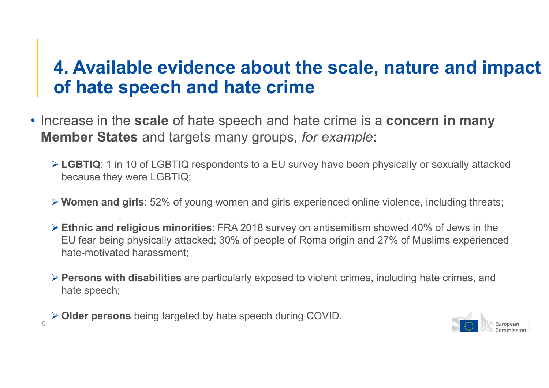#### 4. Available evidence about the scale, nature and impact of hate speech and hate crime

- Increase in the scale of hate speech and hate crime is a concern in many Member States and targets many groups, for example:
	- ▶ LGBTIQ: 1 in 10 of LGBTIQ respondents to a EU survey have been physically or sexually attacked because they were LGBTIQ;
	- ▶ Women and girls: 52% of young women and girls experienced online violence, including threats:
- Ethnic and religious minorities: FRA 2018 survey on antisemitism showed 40% of Jews in the If hate speech and hate crime<br>The speech and hate crime is a concern in many<br>mber States and targets many groups, for example:<br>LGBTIQ: 1 in 10 of LGBTIQ respondents to a EU survey have been physically or sexually attacked<br> hate-motivated harassment;
	- Persons with disabilities are particularly exposed to violent crimes, including hate crimes, and hate speech;
	- Older persons being targeted by hate speech during COVID.

9

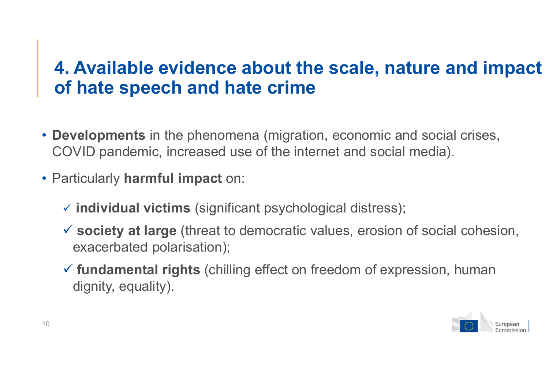#### 4. Available evidence about the scale, nature and impact of hate speech and hate crime

- Developments in the phenomena (migration, economic and social crises, COVID pandemic, increased use of the internet and social media).
- Particularly harmful impact on:
	- $\checkmark$  individual victims (significant psychological distress);
	- $\checkmark$  society at large (threat to democratic values, erosion of social cohesion, exacerbated polarisation);
	- $\checkmark$  fundamental rights (chilling effect on freedom of expression, human dignity, equality).

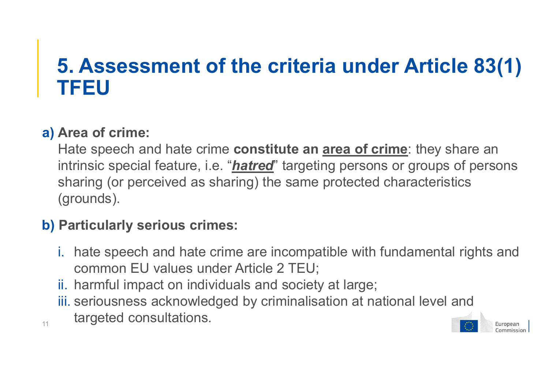# 5. Assessment of the criteria under Article 83(1) TFEU

#### a) Area of crime:

11

Hate speech and hate crime **constitute an area of crime**: they share an intrinsic special feature, i.e. "**hatred**" targeting persons or groups of persons sharing (or perceived as sharing) the same protected characteristics (grounds).

#### b) Particularly serious crimes:

- i. hate speech and hate crime are incompatible with fundamental rights and common EU values under Article 2 TEU;
- ii. harmful impact on individuals and society at large;
- iii. seriousness acknowledged by criminalisation at national level and targeted consultations.

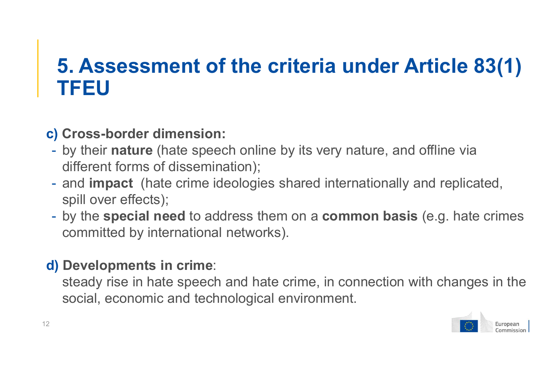# 5. Assessment of the criteria under Article 83(1) TFEU

#### c) Cross-border dimension:

- by their nature (hate speech online by its very nature, and offline via
- different forms of dissemination);<br>- and impact (hate crime ideologies shared internationally and replicated, spill over effects);
- by the special need to address them on a common basis (e.g. hate crimes committed by international networks).

#### d) Developments in crime:

steady rise in hate speech and hate crime, in connection with changes in the social, economic and technological environment.

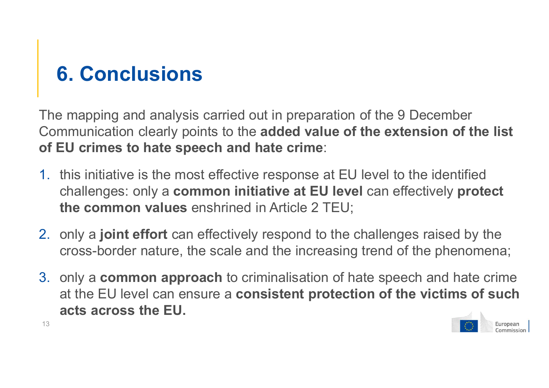# 6. Conclusions

The mapping and analysis carried out in preparation of the 9 December Communication clearly points to the added value of the extension of the list of EU crimes to hate speech and hate crime:

- 1. this initiative is the most effective response at EU level to the identified challenges: only a common initiative at EU level can effectively protect the common values enshrined in Article 2 TEU;
- 2. only a **joint effort** can effectively respond to the challenges raised by the cross-border nature, the scale and the increasing trend of the phenomena;
- 3. only a common approach to criminalisation of hate speech and hate crime at the EU level can ensure a consistent protection of the victims of such acts across the EU.



13